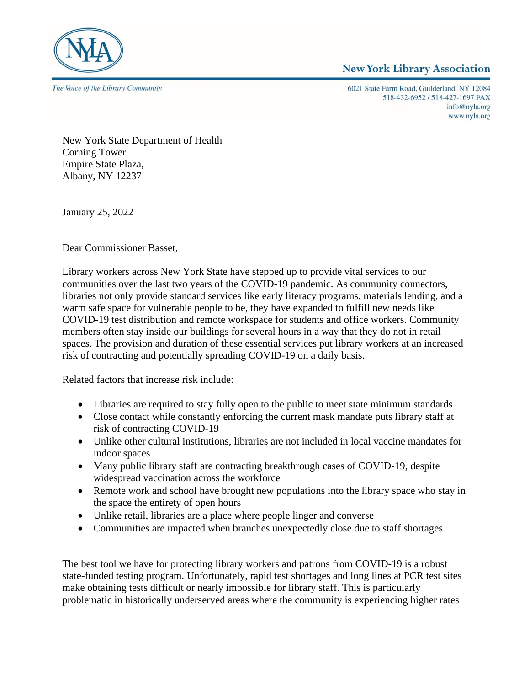

## **New York Library Association**

6021 State Farm Road, Guilderland, NY 12084 518-432-6952 / 518-427-1697 FAX info@nyla.org www.nyla.org

New York State Department of Health Corning Tower Empire State Plaza, Albany, NY 12237

January 25, 2022

Dear Commissioner Basset,

Library workers across New York State have stepped up to provide vital services to our communities over the last two years of the COVID-19 pandemic. As community connectors, libraries not only provide standard services like early literacy programs, materials lending, and a warm safe space for vulnerable people to be, they have expanded to fulfill new needs like COVID-19 test distribution and remote workspace for students and office workers. Community members often stay inside our buildings for several hours in a way that they do not in retail spaces. The provision and duration of these essential services put library workers at an increased risk of contracting and potentially spreading COVID-19 on a daily basis.

Related factors that increase risk include:

- Libraries are required to stay fully open to the public to meet state minimum standards
- Close contact while constantly enforcing the current mask mandate puts library staff at risk of contracting COVID-19
- Unlike other cultural institutions, libraries are not included in local vaccine mandates for indoor spaces
- Many public library staff are contracting breakthrough cases of COVID-19, despite widespread vaccination across the workforce
- Remote work and school have brought new populations into the library space who stay in the space the entirety of open hours
- Unlike retail, libraries are a place where people linger and converse
- Communities are impacted when branches unexpectedly close due to staff shortages

The best tool we have for protecting library workers and patrons from COVID-19 is a robust state-funded testing program. Unfortunately, rapid test shortages and long lines at PCR test sites make obtaining tests difficult or nearly impossible for library staff. This is particularly problematic in historically underserved areas where the community is experiencing higher rates